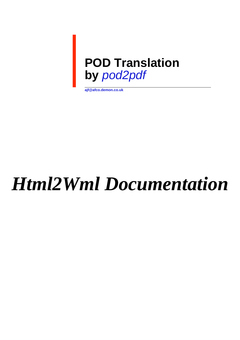

**ajf@afco.demon.co.uk**

# *Html2Wml Documentation*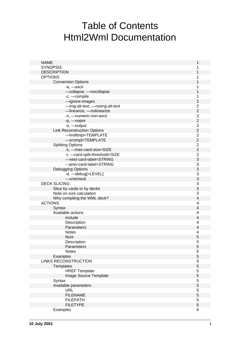# Table of Contents Html2Wml Documentation

| <b>NAME</b>                        | 1                         |
|------------------------------------|---------------------------|
| <b>SYNOPSIS</b>                    | 1                         |
| <b>DESCRIPTION</b>                 | 1                         |
| <b>OPTIONS</b>                     | 1                         |
| <b>Conversion Options</b>          | 1                         |
| -a, -ascii                         | 1                         |
| -collapse, -nocollapse             | 1                         |
| -c, -compile                       | 1                         |
| -ignore-images                     | $\overline{2}$            |
| -img-alt-text, -noimg-alt-text     | $\overline{2}$            |
| -linearize, -nolinearize           | $\mathbf 2$               |
| -n, -numeric-non-ascii             | $\overline{2}$            |
| -p, -nopre                         | $\overline{2}$            |
| -o, -output                        | $\overline{2}$            |
| <b>Link Reconstruction Options</b> | $\overline{2}$            |
| -hreftmpl=TEMPLATE                 | $\overline{2}$            |
| -srctmpl=TEMPLATE                  | $\overline{2}$            |
| <b>Splitting Options</b>           | $\overline{2}$            |
| -s, -max-card-size=SIZE            | $\overline{2}$            |
| -t, -card-split-threshold=SIZE     | $\boldsymbol{2}$          |
| -next-card-label=STRING            | 3                         |
| -prev-card-label=STRING            | $\ensuremath{\mathsf{3}}$ |
| <b>Debugging Options</b>           | 3                         |
| -d, -debug[=LEVEL]                 | $\ensuremath{\mathsf{3}}$ |
| -xmlcheck                          | 3                         |
| <b>DECK SLICING</b>                | $\ensuremath{\mathsf{3}}$ |
| Slice by cards or by decks         | 3                         |
| Note on size calculation           | 3                         |
| Why compiling the WML deck?        | $\overline{4}$            |
| <b>ACTIONS</b>                     | 4                         |
| Syntax                             | $\overline{4}$            |
| Available actions                  | 4                         |
| include                            | $\overline{4}$            |
| Description                        | 4                         |
| Parameters                         | $\overline{4}$            |
| <b>Notes</b>                       | 4                         |
| fsize                              | 5                         |
| Description                        | 5                         |
| Parameters                         | $\overline{5}$            |
| <b>Notes</b>                       | 5                         |
| Examples                           | $\overline{5}$            |
| <b>LINKS RECONSTRUCTION</b>        | 5                         |
| Templates                          | $\overline{5}$            |
| <b>HREF Template</b>               | 5                         |
| Image Source Template              | $\overline{5}$            |
| Syntax                             | 5                         |
| Available parameters               | $\overline{5}$            |
| <b>URL</b>                         | 5                         |
| <b>FILENAME</b>                    | $\overline{5}$            |
| <b>FILEPATH</b>                    | 5                         |
| <b>FILETYPE</b>                    | $\,6$                     |
| Examples                           | 6                         |
|                                    |                           |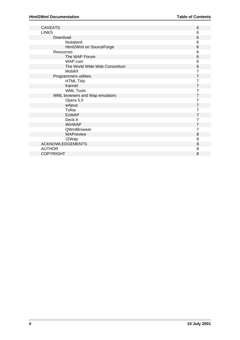| <b>CAVEATS</b>                 | 6 |
|--------------------------------|---|
| <b>LINKS</b>                   | 6 |
| Download                       | 6 |
| Nutialand                      | 6 |
| Html2Wml on SourceForge        | 6 |
| Resources                      | 6 |
| The WAP Forum                  | 6 |
| WAP.com                        | 6 |
| The World Wide Web Consortium  | 6 |
| MobiliX                        | 7 |
| Programmers utilities          | 7 |
| <b>HTML Tidy</b>               | 7 |
| Kannel                         | 7 |
| <b>WML Tools</b>               | 7 |
| WML browsers and Wap emulators | 7 |
| Opera 5.0                      | 7 |
| wApua                          | 7 |
| Tofoa                          | 7 |
| <b>EzWAP</b>                   | 7 |
| Deck-It                        | 7 |
| WinWAP                         | 7 |
| QWmlBrowser                    | 7 |
| WAPreview                      | 8 |
| J2Wap                          | 8 |
| <b>ACKNOWLEDGEMENTS</b>        | 8 |
| <b>AUTHOR</b>                  | 8 |
| <b>COPYRIGHT</b>               | 8 |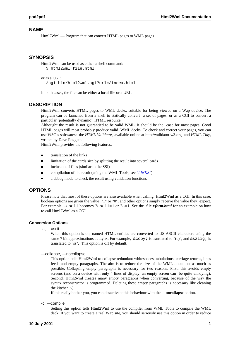# **NAME**

Html2Wml — Program that can convert HTML pages to WML pages

# **SYNOPSIS**

```
Html2Wml can be used as either a shell command: 
   $ html2wml file.html
```

```
or as a CGI: 
   /cgi-bin/html2wml.cgi?url=/index.html
```
In both cases, the file can be either a local file or a URL.

# **DESCRIPTION**

Html2Wml converts HTML pages to WML decks, suitable for being viewed on a Wap device. The program can be launched from a shell to statically convert a set of pages, or as a CGI to convert a particular (potentially dynamic) HTML resource.

Althought the result is not guarantied to be valid WML, it should be the case for most pages. Good HTML pages will most probably produce valid WML decks. To check and correct your pages, you can use W3C's softwares: the *HTML Validator*, available online at http://validator.w3.org and *HTML Tidy*, written by Dave Raggett.

Html2Wml provides the following features:

- translation of the links
- limitation of the cards size by splitting the result into several cards  $\blacksquare$
- $\blacksquare$ inclusion of files (similar to the SSI)
- compilation of the result (using the WML Tools, see *"LINKS"*)  $\blacksquare$
- a debug mode to check the result using validation functions  $\blacksquare$

# **OPTIONS**

Please note that most of these options are also available when calling Html2Wml as a CGI. In this case, boolean options are given the value "1" or "0", and other options simply receive the value they expect. For example, —ascii becomes ?ascii=1 or ?a=1. See the file *t/form.html* for an example on how to call Html2Wml as a CGI.

# **Conversion Options**

-a, —ascii

When this option is on, named HTML entities are converted to US-ASCII characters using the same 7 bit approximations as Lynx. For example,  $\©$  is translated to "(c)", and  $\ß$  is translated to "ss". This option is off by default.

—collapse, —nocollapse

This option tells Html2Wml to collapse redundant whitespaces, tabulations, carriage returns, lines feeds and empty paragraphs. The aim is to reduce the size of the WML document as much as possible. Collapsing empty paragraphs is necessary for two reasons. First, this avoids empty screens (and on a device with only 4 lines of display, an empty screen can be quite ennoying). Second, Html2wml creates many empty paragraphs when converting, because of the way the syntax reconstructor is programmed. Deleting these empty paragraphs is necessary like cleaning the kitchen :-)

If this really bother you, you can desactivate this behaviour with the **—nocollapse** option.

-c, —compile

Setting this option tells Html2Wml to use the compiler from WML Tools to compile the WML deck. If you want to create a real Wap site, you should seriously use this option in order to reduce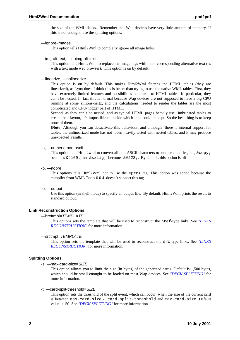the size of the WML decks. Remember that Wap devices have very little amount of memory. If this is not enought, use the splitting options.

—ignore-images

This option tells Html2Wml to completly ignore all image links.

—img-alt-text, —noimg-alt-text

This option tells Html2Wml to replace the image tags with their corresponding alternative text (as with a text mode web browser). This option is on by default.

—linearize, —nolinearize

This option is on by default. This makes Html2Wml flattens the HTML tables (they are linearized), as Lynx does. I think this is better than trying to use the native WML tables. First, they have extremely limited features and possibilities compared to HTML tables. In particular, they can't be nested. In fact this is normal because Wap devices are not supposed to have a big CPU running at some zillions-hertz, and the calculations needed to render the tables are the most complicated and CPU-hogger part of HTML.

Second, as they can't be nested, and as typical HTML pages heavily use imbricated tables to create their layout, it's impossible to decide which one could be kept. So the best thing is to keep none of them.

**[Note]** Although you can desactivate this behaviour, and although there is internal support for tables, the unlinearized mode has not been heavily tested with nested tables, and it may produce unexpected results.

#### -n, —numeric-non-ascii

This option tells Html2wml to convert all non-ASCII characters to numeric entities, i.e.,  $\©$ ; becomes  $\&\#169$ ;, and  $\&\s{zliq}$  becomes  $\&\#223$ ; By default, this option is off.

-p, —nopre

This options tells Html2Wml not to use the <pre> tag. This option was added because the compiler from WML Tools 0.0.4 doesn't support this tag.

#### -o, —output

Use this option (in shell mode) to specify an output file. By default, Html2Wml prints the result to standard output.

## **Link Reconstruction Options**

#### —hreftmpl=TEMPLATE

This options sets the template that will be used to reconstruct the href-type links. See *"LINKS RECONSTRUCTION"* for more information.

#### —srctmpl=TEMPLATE

This option sets the template that will be used to reconstruct the src-type links. See *"LINKS RECONSTRUCTION"* for more information.

#### **Splitting Options**

#### -s, —max-card-size=SIZE

This option allows you to limit the size (in bytes) of the generated cards. Default is 1,500 bytes, which should be small enought to be loaded on most Wap devices. See *"DECK SPLITTING"* for more information.

#### -t, —card-split-threshold=SIZE

This option sets the threshold of the split event, which can occur when the size of the current card is between max-card-size - card-split-threshold and max-card-size. Default value is 50. See *"DECK SPLITTING"* for more information.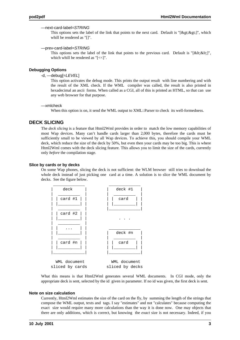#### —next-card-label=STRING

This options sets the label of the link that points to the next card. Default is "[ $\>g(t)\>g(t)$ ]", which whill be rendered as "[]".

—prev-card-label=STRING

This options sets the label of the link that points to the previous card. Default is " $[< ||<||$ ", which whill be rendered as "[<<]".

#### **Debugging Options**

#### -d, —debug[=LEVEL]

This option activates the debug mode. This prints the output result with line numbering and with the result of the XML check. If the WML compiler was called, the result is also printed in hexadecimal an ascii forms. When called as a CGI, all of this is printed as HTML, so that can use any web browser for that purpose.

#### —xmlcheck

When this option is on, it send the WML output to XML::Parser to check its well-formedness.

# **DECK SLICING**

The *deck slicing* is a feature that Html2Wml provides in order to match the low memory capabilities of most Wap devices. Many can't handle cards larger than 2,000 bytes, therefore the cards must be sufficiently small to be viewed by all Wap devices. To achieve this, you should compile your WML deck, which reduce the size of the deck by 50%, but even then your cards may be too big. This is where Html2Wml comes with the deck slicing feature. This allows you to limit the size of the cards, currently only *before* the compilation stage.

#### **Slice by cards or by decks**

On some Wap phones, slicing the deck is not sufficient: the WLM browser still tries to download the whole deck instead of just picking one card at a time. A solution is to slice the WML document by decks. See the figure below.



What this means is that Html2Wml generates several WML documents. In CGI mode, only the appropriate deck is sent, selected by the id given in parameter. If no id was given, the first deck is sent.

#### **Note on size calculation**

Currently, Html2Wml estimates the size of the card on the fly, by summing the length of the strings that compose the WML output, texts and tags. I say "estimates" and not "calculates" because computing the exact size would require many more calculations than the way it is done now. One may objects that there are only additions, which is correct, but knowing the *exact* size is not necessary. Indeed, if you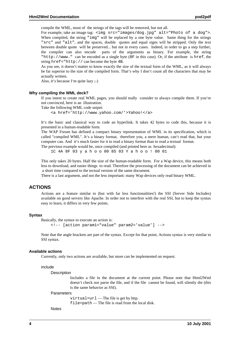compile the WML, most of the strings of the tags will be removed, but not all.

For example, take an image tag: <img src="images/dog.jpg" alt="Photo of a dog">. When compiled, the string "img" will be replaced by a one byte value. Same thing for the strings "src" and "alt", and the spaces, double quotes and equal signs will be stripped. Only the text between double quote will be preserved... but not in every cases. Indeed, in order to go a step further, the compiler can also encode parts of the arguments as binary. For example, the string "http://www." can be encoded as a single byte (8F in this case). Or, if the attribute is href, the string href="http:// can become the byte 4B.

As you see, it doesn't matter to know exactly the size of the textual form of the WML, as it will always be far superior to the size of the compiled form. That's why I don't count all the characters that may be actually written.

Also, it's because I'm quite lazy ;-)

#### **Why compiling the WML deck?**

If you intent to create real WML pages, you should really consider to always compile them. If you're not convinced, here is an illustration.

Take the following WML code snipet:

<a href='http://www.yahoo.com/'>Yahoo!</a>

It's the basic and classical way to code an hyperlink. It takes 42 bytes to code this, because it is presented in a human-readable form.

The WAP Forum has defined a compact binary representation of WML in its specification, which is called "compiled WML". It's a binary format, therefore you, a mere human, can't read that, but your computer can. And it's much faster for it to read a binary format than to read a textual format. The previous example would be, once compiled (and printed here as hexadecimal):

1C 4A 8F 03 y a h o o 00 85 03 Y a h o o ! 00 01

This only takes 20 bytes. Half the size of the human-readable form. For a Wap device, this means both less to download, and easier things to read. Therefore the processing of the document can be achieved in a short time compared to the tectual version of the same document.

There is a last argument, and not the less important: many Wap devices only read binary WML.

#### **ACTIONS**

Actions are a feature similar to (but with far less functionalities!) the SSI (Server Side Includes) available on good servers like Apache. In order not to interfere with the real SSI, but to keep the syntax easy to learn, it differs in very few points.

#### **Syntax**

```
Basically, the syntax to execute an action is: 
      <!-- [action param1="value" param2='value'] -->
```
Note that the angle brackets are part of the syntax. Except for that point, Actions syntax is very similar to SSI syntax.

#### **Available actions**

Currently, only two actions are available, but more can be implemented on request.

include

**Description** 

Includes a file in the document at the current point. Please note that Html2Wml doesn't check nor parse the file, and if the file cannot be found, will silently die (this is the same behavior as SSI).

#### **Parameters**

virtual=url — The file is get by http. file=path — The file is read from the local disk.

Notes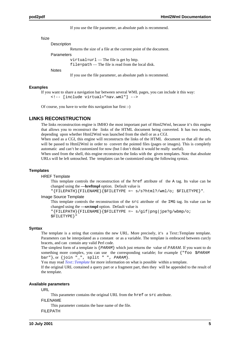If you use the file parameter, an absolute path is recommend.

| fsize |                                                                  |
|-------|------------------------------------------------------------------|
|       | Description                                                      |
|       | Returns the size of a file at the current point of the document. |
|       | Parameters                                                       |
|       | virtual= $ur1$ — The file is get by http.                        |
|       | $file = path$ The file is read from the local disk.              |
|       | Notes                                                            |

If you use the file parameter, an absolute path is recommend.

#### **Examples**

If you want to share a navigation bar between several WML pages, you can include it this way: <!-- [include virtual="nav.wml"] -->

Of course, you have to write this navigation bar first :-)

## **LINKS RECONSTRUCTION**

The links reconstruction engine is IMHO the most important part of Html2Wml, because it's this engine that allows you to reconstruct the links of the HTML document being converted. It has two modes, depending upon whether Html2Wml was launched from the shell or as a CGI.

When used as a CGI, this engine will reconstructs the links of the HTML document so that all the urls will be passed to Html2Wml in order to convert the pointed files (pages or images). This is completly automatic and can't be customized for now (but I don't think it would be really useful).

When used from the shell, this engine reconstructs the links with the given templates. Note that absolute URLs will be left untouched. The templates can be customized using the following syntax.

#### **Templates**

HREF Template

This template controls the reconstruction of the href attribute of the A tag. Its value can be changed using the **—hreftmpl** option. Default value is

"{FILEPATH}{FILENAME}{\$FILETYPE =~ s/s?html?/wml/o; \$FILETYPE}".

Image Source Template

This template controls the reconstruction of the src attribute of the IMG tag. Its value can be changed using the **—srctmpl** option. Default value is

```
"{FILEPATH}{FILENAME}{$FILETYPE =~ s/gif|png|jpe?g/wbmp/o;
$FILETYPE}"
```
#### **Syntax**

The template is a string that contains the new URL. More precisely, it's a Text::Template template. Parameters can be interpolated as a constant or as a variable. The template is embraced between curcly bracets, and can contain any valid Perl code.

The simplest form of a template is {PARAM} which just returns the value of *PARAM*. If you want to do something more complex, you can use the corresponding variable; for example { "foo \$PARAM" bar"}, or  $\{ \text{join} "." \text{split} "." \text{CHAPTER 2M} \}.$ 

You may read *Text::Template* for more information on what is possible within a template.

If the original URL contained a query part or a fragment part, then they will be appended to the result of the template.

#### **Available parameters**

URL

This parameter contains the original URL from the href or src attribute.

FILENAME

This parameter contains the base name of the file.

FILEPATH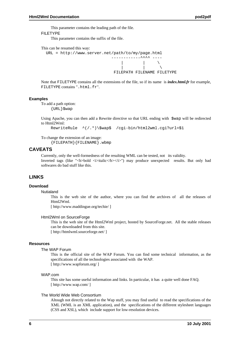This parameter contains the leading path of the file.

FILETYPE

This parameter contains the suffix of the file.

```
This can be resumed this way:
```


Note that FILETYPE contains all the extensions of the file, so if its name is *index.html.fr* for example, FILETYPE contains ".html.fr".

#### **Examples**

To add a path option:

 $\{URL\}$  $swap$ 

Using Apache, you can then add a Rewrite directive so that URL ending with \$wap will be redirected to Html2Wml:

RewriteRule ^(/.\*)\\$wap\$ /cgi-bin/html2wml.cgi?url=\$1

To change the extension of an image:

{FILEPATH}{FILENAME}.wbmp

# **CAVEATS**

Currently, only the well-formedness of the resulting WML can be tested, not its validity. Inverted tags (like "<br/>b>bold <i>italic</b></i>> $\ge$ ") may produce unexpected results. But only bad softwares do bad stuff like this.

# **LINKS**

#### **Download**

Nutialand

This is the web site of the author, where you can find the archives of all the releases of Html2Wml.

[ http://www.maddingue.org/techie/ ]

#### Html2Wml on SourceForge

This is the web site of the Html2Wml project, hosted by SourceForge.net. All the stable releases can be downloaded from this site.

[ http://htmlwml.sourceforge.net/ ]

#### **Resources**

#### The WAP Forum

This is the official site of the WAP Forum. You can find some technical information, as the specifications of all the technologies associated with the WAP. [ http://www.wapforum.org/ ]

#### WAP.com

This site has some useful information and links. In particular, it has a quite well done FAQ. [ http://www.wap.com/ ]

# The World Wide Web Consortium

Altough not directly related to the Wap stuff, you may find useful to read the specifications of the XML (WML is an XML application), and the specifications of the different stylesheet languages (CSS and XSL), which include support for low-resolution devices.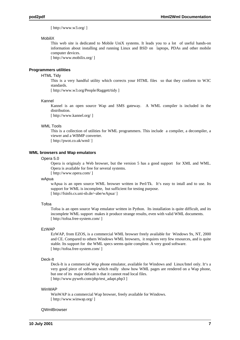[ http://www.w3.org/ ]

#### MobiliX

This web site is dedicated to Mobile UniX systems. It leads you to a lot of useful hands-on information about installing and running Linux and BSD on laptops, PDAs and other mobile computer devices.

[ http://www.mobilix.org/ ]

#### **Programmers utilities**

#### HTML Tidy

This is a very handful utility which corrects your HTML files so that they conform to W3C standards.

[ http://www.w3.org/People/Raggett/tidy ]

#### Kannel

Kannel is an open source Wap and SMS gateway. A WML compiler is included in the distribution.

[ http://www.kannel.org/ ]

#### WML Tools

This is a collection of utilities for WML programmers. This include a compiler, a decompiler, a viewer and a WBMP converter. [ http://pwot.co.uk/wml/ ]

#### **WML browsers and Wap emulators**

#### Opera 5.0

Opera is originaly a Web browser, but the version 5 has a good support for XML and WML. Opera is available for free for several systems.

[ http://www.opera.com/ ]

#### wApua

wApua is an open source WML browser written in Perl/Tk. It's easy to intall and to use. Its support for WML is incomplete, but sufficient for testing purpose. [ http://fsinfo.cs.uni-sb.de/~abe/wApua/ ]

#### Tofoa

Tofoa is an open source Wap emulator written in Python. Its installation is quite difficult, and its incomplete WML support makes it produce strange results, even with valid WML documents. [ http://tofoa.free-system.com/ ]

#### EzWAP

EzWAP, from EZOS, is a commercial WML browser freely available for Windows 9x, NT, 2000 and CE. Compared to others Windows WML browsers, it requires very few resources, and is quite stable. Its support for the WML specs seems quite complete. A very good software. [ http://tofoa.free-system.com/ ]

#### Deck-It

Deck-It is a commercial Wap phone emulator, available for Windows and Linux/Intel only. It's a very good piece of software which really show how WML pages are rendered on a Wap phone, but one of its major default is that it cannot read local files. [ http://www.pyweb.com/php/test\_adapt.php3 ]

#### WinWAP

WinWAP is a commercial Wap browser, freely available for Windows. [ http://www.winwap.org/ ]

#### **QWmlBrowser**